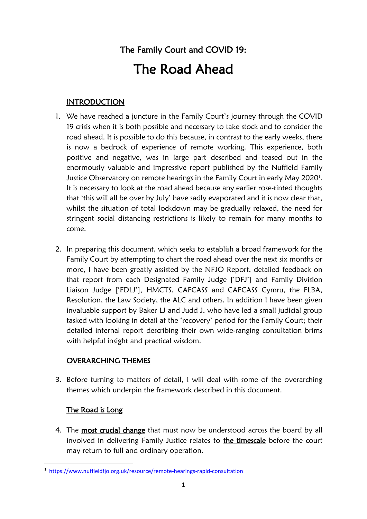# The Family Court and COVID 19: The Road Ahead

# **INTRODUCTION**

- 1. We have reached a juncture in the Family Court's journey through the COVID 19 crisis when it is both possible and necessary to take stock and to consider the road ahead. It is possible to do this because, in contrast to the early weeks, there is now a bedrock of experience of remote working. This experience, both positive and negative, was in large part described and teased out in the enormously valuable and impressive report published by the Nuffield Family Justice Observatory on remote hearings in the Family Court in early May 2020<sup>[1](#page-0-0)</sup>. It is necessary to look at the road ahead because any earlier rose-tinted thoughts that 'this will all be over by July' have sadly evaporated and it is now clear that, whilst the situation of total lockdown may be gradually relaxed, the need for stringent social distancing restrictions is likely to remain for many months to come.
- 2. In preparing this document, which seeks to establish a broad framework for the Family Court by attempting to chart the road ahead over the next six months or more, I have been greatly assisted by the NFJO Report, detailed feedback on that report from each Designated Family Judge ['DFJ'] and Family Division Liaison Judge ['FDLJ'], HMCTS, CAFCASS and CAFCASS Cymru, the FLBA, Resolution, the Law Society, the ALC and others. In addition I have been given invaluable support by Baker LJ and Judd J, who have led a small judicial group tasked with looking in detail at the 'recovery' period for the Family Court; their detailed internal report describing their own wide-ranging consultation brims with helpful insight and practical wisdom.

# OVERARCHING THEMES

3. Before turning to matters of detail, I will deal with some of the overarching themes which underpin the framework described in this document.

# The Road is Long

4. The most crucial change that must now be understood across the board by all involved in delivering Family Justice relates to the timescale before the court may return to full and ordinary operation.

<span id="page-0-0"></span> <sup>1</sup> [https://www.nuffieldfjo.org.uk/resource/remote-hearings-rapid-consultation](https://eur01.safelinks.protection.outlook.com/?url=https%3A%2F%2Fwww.nuffieldfjo.org.uk%2Fresource%2Fremote-hearings-rapid-consultation&data=02%7C01%7CPresident.FD.Mcfarlane1%40ejudiciary.net%7C4f4b1ffa25a04d956e7908d80168d8d9%7C723e45572f1743ed9e71f1beb253e546%7C0%7C0%7C637260897109531602&sdata=y2JeOSTfWMig9FaknhyphU6r7ZXOT81L%2Bzy72WPMin4%3D&reserved=0)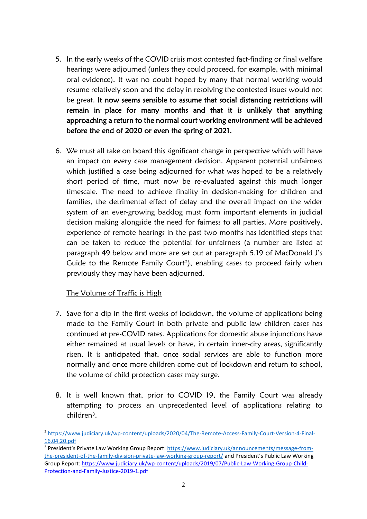- 5. In the early weeks of the COVID crisis most contested fact-finding or final welfare hearings were adjourned (unless they could proceed, for example, with minimal oral evidence). It was no doubt hoped by many that normal working would resume relatively soon and the delay in resolving the contested issues would not be great. It now seems sensible to assume that social distancing restrictions will remain in place for many months and that it is unlikely that anything approaching a return to the normal court working environment will be achieved before the end of 2020 or even the spring of 2021.
- 6. We must all take on board this significant change in perspective which will have an impact on every case management decision. Apparent potential unfairness which justified a case being adjourned for what was hoped to be a relatively short period of time, must now be re-evaluated against this much longer timescale. The need to achieve finality in decision-making for children and families, the detrimental effect of delay and the overall impact on the wider system of an ever-growing backlog must form important elements in judicial decision making alongside the need for fairness to all parties. More positively, experience of remote hearings in the past two months has identified steps that can be taken to reduce the potential for unfairness (a number are listed at paragraph 49 below and more are set out at paragraph 5.19 of MacDonald J's Guide to the Remote Family Court<sup>[2](#page-1-0)</sup>), enabling cases to proceed fairly when previously they may have been adjourned.

#### The Volume of Traffic is High

- 7. Save for a dip in the first weeks of lockdown, the volume of applications being made to the Family Court in both private and public law children cases has continued at pre-COVID rates. Applications for domestic abuse injunctions have either remained at usual levels or have, in certain inner-city areas, significantly risen. It is anticipated that, once social services are able to function more normally and once more children come out of lockdown and return to school, the volume of child protection cases may surge.
- 8. It is well known that, prior to COVID 19, the Family Court was already attempting to process an unprecedented level of applications relating to children[3](#page-1-1).

<span id="page-1-0"></span> <sup>2</sup> [https://www.judiciary.uk/wp-content/uploads/2020/04/The-Remote-Access-Family-Court-Version-4-Final-](https://www.judiciary.uk/wp-content/uploads/2020/04/The-Remote-Access-Family-Court-Version-4-Final-16.04.20.pdf)[16.04.20.pdf](https://www.judiciary.uk/wp-content/uploads/2020/04/The-Remote-Access-Family-Court-Version-4-Final-16.04.20.pdf)

<span id="page-1-1"></span><sup>&</sup>lt;sup>3</sup> President's Private Law Working Group Report[: https://www.judiciary.uk/announcements/message-from](https://www.judiciary.uk/announcements/message-from-the-president-of-the-family-division-private-law-working-group-report/)[the-president-of-the-family-division-private-law-working-group-report/](https://www.judiciary.uk/announcements/message-from-the-president-of-the-family-division-private-law-working-group-report/) and President's Public Law Working Group Report: [https://www.judiciary.uk/wp-content/uploads/2019/07/Public-Law-Working-Group-Child-](https://eur01.safelinks.protection.outlook.com/?url=https%3A%2F%2Fwww.judiciary.uk%2Fwp-content%2Fuploads%2F2019%2F07%2FPublic-Law-Working-Group-Child-Protection-and-Family-Justice-2019-1.pdf&data=02%7C01%7CPresident.FD.Mcfarlane1%40ejudiciary.net%7C33cc0daece4941e1c65b08d8087c7169%7C723e45572f1743ed9e71f1beb253e546%7C0%7C0%7C637268677989448208&sdata=h497dXS5tvDljdDAPEJNlvRryo2hAVkJ%2BGCKVzQpD%2Bg%3D&reserved=0)[Protection-and-Family-Justice-2019-1.pdf](https://eur01.safelinks.protection.outlook.com/?url=https%3A%2F%2Fwww.judiciary.uk%2Fwp-content%2Fuploads%2F2019%2F07%2FPublic-Law-Working-Group-Child-Protection-and-Family-Justice-2019-1.pdf&data=02%7C01%7CPresident.FD.Mcfarlane1%40ejudiciary.net%7C33cc0daece4941e1c65b08d8087c7169%7C723e45572f1743ed9e71f1beb253e546%7C0%7C0%7C637268677989448208&sdata=h497dXS5tvDljdDAPEJNlvRryo2hAVkJ%2BGCKVzQpD%2Bg%3D&reserved=0)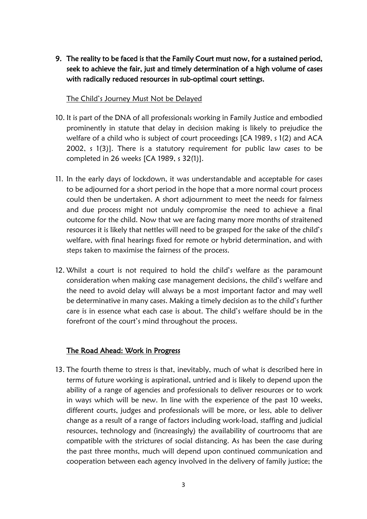9. The reality to be faced is that the Family Court must now, for a sustained period, seek to achieve the fair, just and timely determination of a high volume of cases with radically reduced resources in sub-optimal court settings.

#### The Child's Journey Must Not be Delayed

- 10. It is part of the DNA of all professionals working in Family Justice and embodied prominently in statute that delay in decision making is likely to prejudice the welfare of a child who is subject of court proceedings [CA 1989, s 1(2) and ACA 2002, s 1(3)]. There is a statutory requirement for public law cases to be completed in 26 weeks [CA 1989, s 32(1)].
- 11. In the early days of lockdown, it was understandable and acceptable for cases to be adjourned for a short period in the hope that a more normal court process could then be undertaken. A short adjournment to meet the needs for fairness and due process might not unduly compromise the need to achieve a final outcome for the child. Now that we are facing many more months of straitened resources it is likely that nettles will need to be grasped for the sake of the child's welfare, with final hearings fixed for remote or hybrid determination, and with steps taken to maximise the fairness of the process.
- 12. Whilst a court is not required to hold the child's welfare as the paramount consideration when making case management decisions, the child's welfare and the need to avoid delay will always be a most important factor and may well be determinative in many cases. Making a timely decision as to the child's further care is in essence what each case is about. The child's welfare should be in the forefront of the court's mind throughout the process.

#### The Road Ahead: Work in Progress

13. The fourth theme to stress is that, inevitably, much of what is described here in terms of future working is aspirational, untried and is likely to depend upon the ability of a range of agencies and professionals to deliver resources or to work in ways which will be new. In line with the experience of the past 10 weeks, different courts, judges and professionals will be more, or less, able to deliver change as a result of a range of factors including work-load, staffing and judicial resources, technology and (increasingly) the availability of courtrooms that are compatible with the strictures of social distancing. As has been the case during the past three months, much will depend upon continued communication and cooperation between each agency involved in the delivery of family justice; the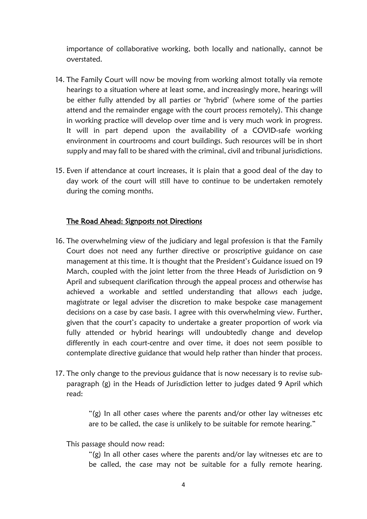importance of collaborative working, both locally and nationally, cannot be overstated.

- 14. The Family Court will now be moving from working almost totally via remote hearings to a situation where at least some, and increasingly more, hearings will be either fully attended by all parties or 'hybrid' (where some of the parties attend and the remainder engage with the court process remotely). This change in working practice will develop over time and is very much work in progress. It will in part depend upon the availability of a COVID-safe working environment in courtrooms and court buildings. Such resources will be in short supply and may fall to be shared with the criminal, civil and tribunal jurisdictions.
- 15. Even if attendance at court increases, it is plain that a good deal of the day to day work of the court will still have to continue to be undertaken remotely during the coming months.

#### The Road Ahead: Signposts not Directions

- 16. The overwhelming view of the judiciary and legal profession is that the Family Court does not need any further directive or proscriptive guidance on case management at this time. It is thought that the President's Guidance issued on 19 March, coupled with the joint letter from the three Heads of Jurisdiction on 9 April and subsequent clarification through the appeal process and otherwise has achieved a workable and settled understanding that allows each judge, magistrate or legal adviser the discretion to make bespoke case management decisions on a case by case basis. I agree with this overwhelming view. Further, given that the court's capacity to undertake a greater proportion of work via fully attended or hybrid hearings will undoubtedly change and develop differently in each court-centre and over time, it does not seem possible to contemplate directive guidance that would help rather than hinder that process.
- 17. The only change to the previous guidance that is now necessary is to revise subparagraph (g) in the Heads of Jurisdiction letter to judges dated 9 April which read:

"(g) In all other cases where the parents and/or other lay witnesses etc are to be called, the case is unlikely to be suitable for remote hearing."

This passage should now read:

"(g) In all other cases where the parents and/or lay witnesses etc are to be called, the case may not be suitable for a fully remote hearing.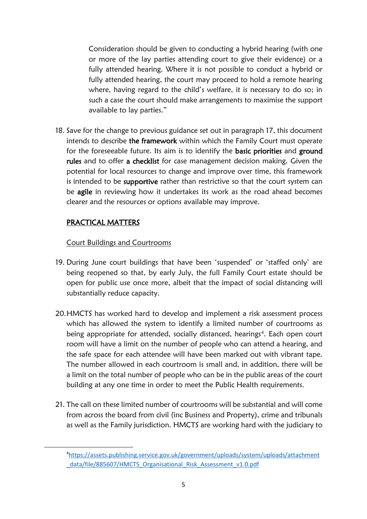Consideration should be given to conducting a hybrid hearing (with one or more of the lay parties attending court to give their evidence) or a fully attended hearing. Where it is not possible to conduct a hybrid or fully attended hearing, the court may proceed to hold a remote hearing where, having regard to the child's welfare, it is necessary to do so; in such a case the court should make arrangements to maximise the support available to lay parties."

18. Save for the change to previous guidance set out in paragraph 17, this document intends to describe the framework within which the Family Court must operate for the foreseeable future. Its aim is to identify the basic priorities and ground rules and to offer a checklist for case management decision making. Given the potential for local resources to change and improve over time, this framework is intended to be supportive rather than restrictive so that the court system can be agile in reviewing how it undertakes its work as the road ahead becomes clearer and the resources or options available may improve.

### PRACTICAL MATTERS

#### Court Buildings and Courtrooms

- 19. During June court buildings that have been 'suspended' or 'staffed only' are being reopened so that, by early July, the full Family Court estate should be open for public use once more, albeit that the impact of social distancing will substantially reduce capacity.
- 20.HMCTS has worked hard to develop and implement a risk assessment process which has allowed the system to identify a limited number of courtrooms as being appropriate for attended, socially distanced, hearings<sup>[4](#page-4-0)</sup>. Each open court room will have a limit on the number of people who can attend a hearing, and the safe space for each attendee will have been marked out with vibrant tape. The number allowed in each courtroom is small and, in addition, there will be a limit on the total number of people who can be in the public areas of the court building at any one time in order to meet the Public Health requirements.
- 21. The call on these limited number of courtrooms will be substantial and will come from across the board from civil (inc Business and Property), crime and tribunals as well as the Family jurisdiction. HMCTS are working hard with the judiciary to

<span id="page-4-0"></span> $\overline{4}$ [https://assets.publishing.service.gov.uk/government/uploads/system/uploads/attachment](https://assets.publishing.service.gov.uk/government/uploads/system/uploads/attachment_data/file/885607/HMCTS_Organisational_Risk_Assessment_v1.0.pdf) [\\_data/file/885607/HMCTS\\_Organisational\\_Risk\\_Assessment\\_v1.0.pdf](https://assets.publishing.service.gov.uk/government/uploads/system/uploads/attachment_data/file/885607/HMCTS_Organisational_Risk_Assessment_v1.0.pdf)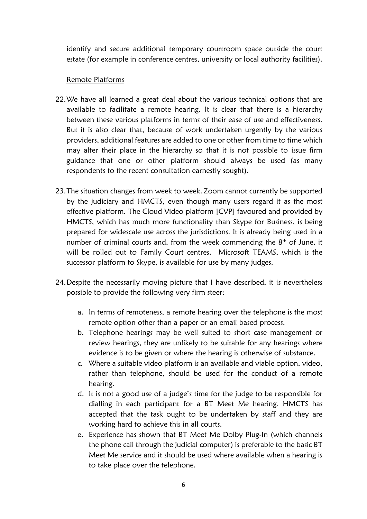identify and secure additional temporary courtroom space outside the court estate (for example in conference centres, university or local authority facilities).

#### Remote Platforms

- 22.We have all learned a great deal about the various technical options that are available to facilitate a remote hearing. It is clear that there is a hierarchy between these various platforms in terms of their ease of use and effectiveness. But it is also clear that, because of work undertaken urgently by the various providers, additional features are added to one or other from time to time which may alter their place in the hierarchy so that it is not possible to issue firm guidance that one or other platform should always be used (as many respondents to the recent consultation earnestly sought).
- 23.The situation changes from week to week. Zoom cannot currently be supported by the judiciary and HMCTS, even though many users regard it as the most effective platform. The Cloud Video platform [CVP] favoured and provided by HMCTS, which has much more functionality than Skype for Business, is being prepared for widescale use across the jurisdictions. It is already being used in a number of criminal courts and, from the week commencing the 8<sup>th</sup> of June, it will be rolled out to Family Court centres. Microsoft TEAMS, which is the successor platform to Skype, is available for use by many judges.
- 24.Despite the necessarily moving picture that I have described, it is nevertheless possible to provide the following very firm steer:
	- a. In terms of remoteness, a remote hearing over the telephone is the most remote option other than a paper or an email based process.
	- b. Telephone hearings may be well suited to short case management or review hearings, they are unlikely to be suitable for any hearings where evidence is to be given or where the hearing is otherwise of substance.
	- c. Where a suitable video platform is an available and viable option, video, rather than telephone, should be used for the conduct of a remote hearing.
	- d. It is not a good use of a judge's time for the judge to be responsible for dialling in each participant for a BT Meet Me hearing. HMCTS has accepted that the task ought to be undertaken by staff and they are working hard to achieve this in all courts.
	- e. Experience has shown that BT Meet Me Dolby Plug-In (which channels the phone call through the judicial computer) is preferable to the basic BT Meet Me service and it should be used where available when a hearing is to take place over the telephone.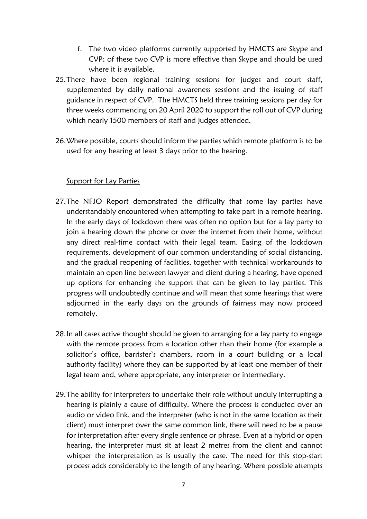- f. The two video platforms currently supported by HMCTS are Skype and CVP; of these two CVP is more effective than Skype and should be used where it is available.
- 25.There have been regional training sessions for judges and court staff, supplemented by daily national awareness sessions and the issuing of staff guidance in respect of CVP. The HMCTS held three training sessions per day for three weeks commencing on 20 April 2020 to support the roll out of CVP during which nearly 1500 members of staff and judges attended.
- 26.Where possible, courts should inform the parties which remote platform is to be used for any hearing at least 3 days prior to the hearing.

#### Support for Lay Parties

- 27.The NFJO Report demonstrated the difficulty that some lay parties have understandably encountered when attempting to take part in a remote hearing. In the early days of lockdown there was often no option but for a lay party to join a hearing down the phone or over the internet from their home, without any direct real-time contact with their legal team. Easing of the lockdown requirements, development of our common understanding of social distancing, and the gradual reopening of facilities, together with technical workarounds to maintain an open line between lawyer and client during a hearing, have opened up options for enhancing the support that can be given to lay parties. This progress will undoubtedly continue and will mean that some hearings that were adjourned in the early days on the grounds of fairness may now proceed remotely.
- 28.In all cases active thought should be given to arranging for a lay party to engage with the remote process from a location other than their home (for example a solicitor's office, barrister's chambers, room in a court building or a local authority facility) where they can be supported by at least one member of their legal team and, where appropriate, any interpreter or intermediary.
- 29.The ability for interpreters to undertake their role without unduly interrupting a hearing is plainly a cause of difficulty. Where the process is conducted over an audio or video link, and the interpreter (who is not in the same location as their client) must interpret over the same common link, there will need to be a pause for interpretation after every single sentence or phrase. Even at a hybrid or open hearing, the interpreter must sit at least 2 metres from the client and cannot whisper the interpretation as is usually the case. The need for this stop-start process adds considerably to the length of any hearing. Where possible attempts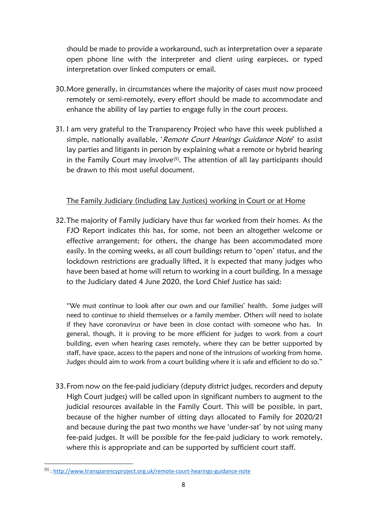should be made to provide a workaround, such as interpretation over a separate open phone line with the interpreter and client using earpieces, or typed interpretation over linked computers or email.

- 30.More generally, in circumstances where the majority of cases must now proceed remotely or semi-remotely, every effort should be made to accommodate and enhance the ability of lay parties to engage fully in the court process.
- 31. I am very grateful to the Transparency Project who have this week published a simple, nationally available, 'Remote Court Hearings Guidance Note' to assist lay parties and litigants in person by explaining what a remote or hybrid hearing in the Family Court may involve<sup>[\[](#page-7-0)5]</sup>. The attention of all lay participants should be drawn to this most useful document.

#### The Family Judiciary (including Lay Justices) working in Court or at Home

32.The majority of Family judiciary have thus far worked from their homes. As the FJO Report indicates this has, for some, not been an altogether welcome or effective arrangement; for others, the change has been accommodated more easily. In the coming weeks, as all court buildings return to 'open' status, and the lockdown restrictions are gradually lifted, it is expected that many judges who have been based at home will return to working in a court building. In a message to the Judiciary dated 4 June 2020, the Lord Chief Justice has said:

"We must continue to look after our own and our families' health. Some judges will need to continue to shield themselves or a family member. Others will need to isolate if they have coronavirus or have been in close contact with someone who has. In general, though, it is proving to be more efficient for judges to work from a court building, even when hearing cases remotely, where they can be better supported by staff, have space, access to the papers and none of the intrusions of working from home. Judges should aim to work from a court building where it is safe and efficient to do so."

33.From now on the fee-paid judiciary (deputy district judges, recorders and deputy High Court judges) will be called upon in significant numbers to augment to the judicial resources available in the Family Court. This will be possible, in part, because of the higher number of sitting days allocated to Family for 2020/21 and because during the past two months we have 'under-sat' by not using many fee-paid judges. It will be possible for the fee-paid judiciary to work remotely, where this is appropriate and can be supported by sufficient court staff.

<span id="page-7-0"></span> <sup>[5]</sup> [: http://www.transparencyproject.org.uk/remote-court-hearings-guidance-note](https://eur01.safelinks.protection.outlook.com/?url=http%3A%2F%2Fwww.transparencyproject.org.uk%2Fremote-court-hearings-guidance-note&data=02%7C01%7Cpresident.fd.mcfarlane1%40ejudiciary.net%7C69ced7e8a8eb49e672e208d809f72483%7C723e45572f1743ed9e71f1beb253e546%7C0%7C0%7C637270304367883817&sdata=HvxzZF6YkGFgqduUbBLBIcAALUrWlp3IQWa%2FZDyx0iw%3D&reserved=0)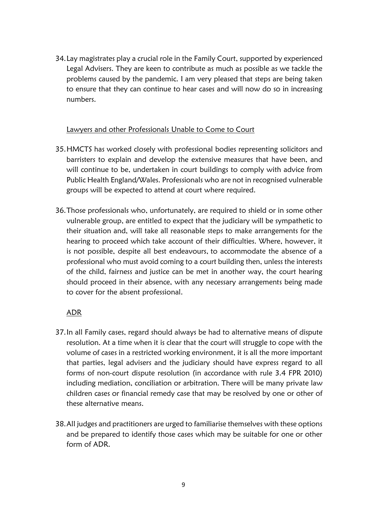34.Lay magistrates play a crucial role in the Family Court, supported by experienced Legal Advisers. They are keen to contribute as much as possible as we tackle the problems caused by the pandemic. I am very pleased that steps are being taken to ensure that they can continue to hear cases and will now do so in increasing numbers.

#### Lawyers and other Professionals Unable to Come to Court

- 35.HMCTS has worked closely with professional bodies representing solicitors and barristers to explain and develop the extensive measures that have been, and will continue to be, undertaken in court buildings to comply with advice from Public Health England/Wales. Professionals who are not in recognised vulnerable groups will be expected to attend at court where required.
- 36.Those professionals who, unfortunately, are required to shield or in some other vulnerable group, are entitled to expect that the judiciary will be sympathetic to their situation and, will take all reasonable steps to make arrangements for the hearing to proceed which take account of their difficulties. Where, however, it is not possible, despite all best endeavours, to accommodate the absence of a professional who must avoid coming to a court building then, unless the interests of the child, fairness and justice can be met in another way, the court hearing should proceed in their absence, with any necessary arrangements being made to cover for the absent professional.

#### ADR

- 37.In all Family cases, regard should always be had to alternative means of dispute resolution. At a time when it is clear that the court will struggle to cope with the volume of cases in a restricted working environment, it is all the more important that parties, legal advisers and the judiciary should have express regard to all forms of non-court dispute resolution (in accordance with rule 3.4 FPR 2010) including mediation, conciliation or arbitration. There will be many private law children cases or financial remedy case that may be resolved by one or other of these alternative means.
- 38.All judges and practitioners are urged to familiarise themselves with these options and be prepared to identify those cases which may be suitable for one or other form of ADR.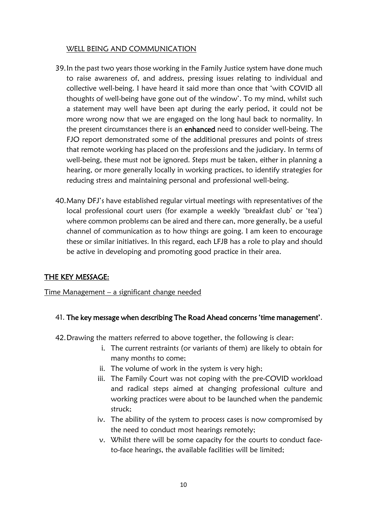#### WELL BEING AND COMMUNICATION

- 39.In the past two years those working in the Family Justice system have done much to raise awareness of, and address, pressing issues relating to individual and collective well-being. I have heard it said more than once that 'with COVID all thoughts of well-being have gone out of the window'. To my mind, whilst such a statement may well have been apt during the early period, it could not be more wrong now that we are engaged on the long haul back to normality. In the present circumstances there is an enhanced need to consider well-being. The FJO report demonstrated some of the additional pressures and points of stress that remote working has placed on the professions and the judiciary. In terms of well-being, these must not be ignored. Steps must be taken, either in planning a hearing, or more generally locally in working practices, to identify strategies for reducing stress and maintaining personal and professional well-being.
- 40.Many DFJ's have established regular virtual meetings with representatives of the local professional court users (for example a weekly 'breakfast club' or 'tea') where common problems can be aired and there can, more generally, be a useful channel of communication as to how things are going. I am keen to encourage these or similar initiatives. In this regard, each LFJB has a role to play and should be active in developing and promoting good practice in their area.

## THE KEY MESSAGE:

Time Management – a significant change needed

#### 41. The key message when describing The Road Ahead concerns 'time management'.

- 42.Drawing the matters referred to above together, the following is clear:
	- i. The current restraints (or variants of them) are likely to obtain for many months to come;
	- ii. The volume of work in the system is very high;
	- iii. The Family Court was not coping with the pre-COVID workload and radical steps aimed at changing professional culture and working practices were about to be launched when the pandemic struck;
	- iv. The ability of the system to process cases is now compromised by the need to conduct most hearings remotely;
	- v. Whilst there will be some capacity for the courts to conduct faceto-face hearings, the available facilities will be limited;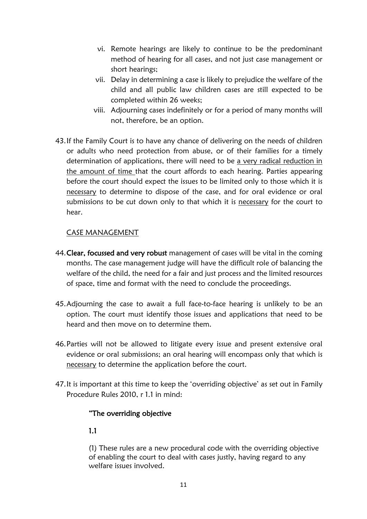- vi. Remote hearings are likely to continue to be the predominant method of hearing for all cases, and not just case management or short hearings;
- vii. Delay in determining a case is likely to prejudice the welfare of the child and all public law children cases are still expected to be completed within 26 weeks;
- viii. Adjourning cases indefinitely or for a period of many months will not, therefore, be an option.
- 43.If the Family Court is to have any chance of delivering on the needs of children or adults who need protection from abuse, or of their families for a timely determination of applications, there will need to be a very radical reduction in the amount of time that the court affords to each hearing. Parties appearing before the court should expect the issues to be limited only to those which it is necessary to determine to dispose of the case, and for oral evidence or oral submissions to be cut down only to that which it is necessary for the court to hear.

#### CASE MANAGEMENT

- 44. Clear, focussed and very robust management of cases will be vital in the coming months. The case management judge will have the difficult role of balancing the welfare of the child, the need for a fair and just process and the limited resources of space, time and format with the need to conclude the proceedings.
- 45.Adjourning the case to await a full face-to-face hearing is unlikely to be an option. The court must identify those issues and applications that need to be heard and then move on to determine them.
- 46.Parties will not be allowed to litigate every issue and present extensive oral evidence or oral submissions; an oral hearing will encompass only that which is necessary to determine the application before the court.
- 47.It is important at this time to keep the 'overriding objective' as set out in Family Procedure Rules 2010, r 1.1 in mind:

#### "The overriding objective

#### 1.1

(1) These rules are a new procedural code with the overriding objective of enabling the court to deal with cases justly, having regard to any welfare issues involved.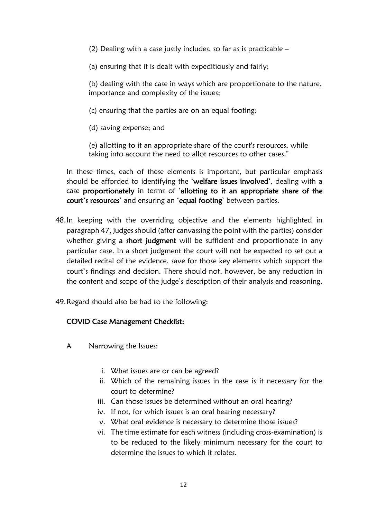- (2) Dealing with a case justly includes, so far as is practicable –
- (a) ensuring that it is dealt with expeditiously and fairly;

(b) dealing with the case in ways which are proportionate to the nature, importance and complexity of the issues;

- (c) ensuring that the parties are on an equal footing;
- (d) saving expense; and

(e) allotting to it an appropriate share of the court's resources, while taking into account the need to allot resources to other cases."

In these times, each of these elements is important, but particular emphasis should be afforded to identifying the 'welfare issues involved', dealing with a case proportionately in terms of 'allotting to it an appropriate share of the court's resources' and ensuring an 'equal footing' between parties.

- 48.In keeping with the overriding objective and the elements highlighted in paragraph 47, judges should (after canvassing the point with the parties) consider whether giving a short judgment will be sufficient and proportionate in any particular case. In a short judgment the court will not be expected to set out a detailed recital of the evidence, save for those key elements which support the court's findings and decision. There should not, however, be any reduction in the content and scope of the judge's description of their analysis and reasoning.
- 49.Regard should also be had to the following:

#### COVID Case Management Checklist:

- A Narrowing the Issues:
	- i. What issues are or can be agreed?
	- ii. Which of the remaining issues in the case is it necessary for the court to determine?
	- iii. Can those issues be determined without an oral hearing?
	- iv. If not, for which issues is an oral hearing necessary?
	- v. What oral evidence is necessary to determine those issues?
	- vi. The time estimate for each witness (including cross-examination) is to be reduced to the likely minimum necessary for the court to determine the issues to which it relates.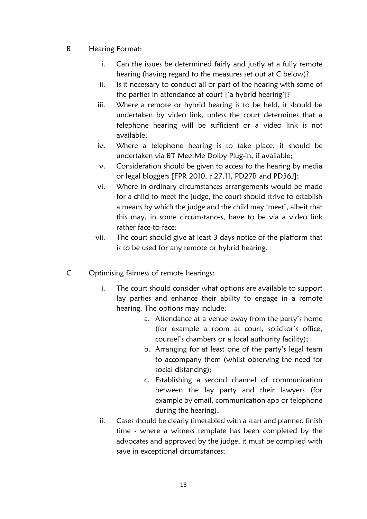- B Hearing Format:
	- i. Can the issues be determined fairly and justly at a fully remote hearing (having regard to the measures set out at C below)?
	- ii. Is it necessary to conduct all or part of the hearing with some of the parties in attendance at court ['a hybrid hearing']?
	- iii. Where a remote or hybrid hearing is to be held, it should be undertaken by video link, unless the court determines that a telephone hearing will be sufficient or a video link is not available;
	- iv. Where a telephone hearing is to take place, it should be undertaken via BT MeetMe Dolby Plug-in, if available;
	- v. Consideration should be given to access to the hearing by media or legal bloggers [FPR 2010, r 27.11, PD27B and PD36J];
	- vi. Where in ordinary circumstances arrangements would be made for a child to meet the judge, the court should strive to establish a means by which the judge and the child may 'meet', albeit that this may, in some circumstances, have to be via a video link rather face-to-face;
	- vii. The court should give at least 3 days notice of the platform that is to be used for any remote or hybrid hearing.
- C Optimising fairness of remote hearings:
	- i. The court should consider what options are available to support lay parties and enhance their ability to engage in a remote hearing. The options may include:
		- a. Attendance at a venue away from the party's home (for example a room at court, solicitor's office, counsel's chambers or a local authority facility);
		- b. Arranging for at least one of the party's legal team to accompany them (whilst observing the need for social distancing);
		- c. Establishing a second channel of communication between the lay party and their lawyers (for example by email, communication app or telephone during the hearing);
	- ii. Cases should be clearly timetabled with a start and planned finish time - where a witness template has been completed by the advocates and approved by the judge, it must be complied with save in exceptional circumstances;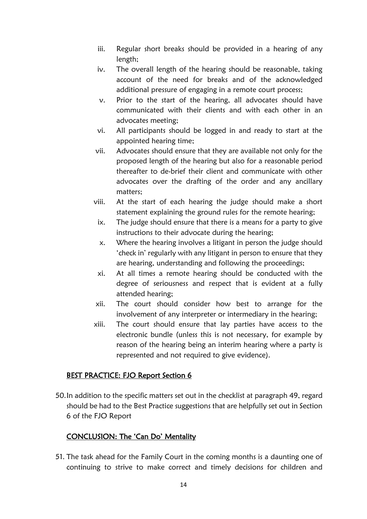- iii. Regular short breaks should be provided in a hearing of any length;
- iv. The overall length of the hearing should be reasonable, taking account of the need for breaks and of the acknowledged additional pressure of engaging in a remote court process;
- v. Prior to the start of the hearing, all advocates should have communicated with their clients and with each other in an advocates meeting;
- vi. All participants should be logged in and ready to start at the appointed hearing time;
- vii. Advocates should ensure that they are available not only for the proposed length of the hearing but also for a reasonable period thereafter to de-brief their client and communicate with other advocates over the drafting of the order and any ancillary matters;
- viii. At the start of each hearing the judge should make a short statement explaining the ground rules for the remote hearing;
- ix. The judge should ensure that there is a means for a party to give instructions to their advocate during the hearing;
- x. Where the hearing involves a litigant in person the judge should 'check in' regularly with any litigant in person to ensure that they are hearing, understanding and following the proceedings;
- xi. At all times a remote hearing should be conducted with the degree of seriousness and respect that is evident at a fully attended hearing;
- xii. The court should consider how best to arrange for the involvement of any interpreter or intermediary in the hearing;
- xiii. The court should ensure that lay parties have access to the electronic bundle (unless this is not necessary, for example by reason of the hearing being an interim hearing where a party is represented and not required to give evidence).

## BEST PRACTICE: FJO Report Section 6

50.In addition to the specific matters set out in the checklist at paragraph 49, regard should be had to the Best Practice suggestions that are helpfully set out in Section 6 of the FJO Report

## CONCLUSION: The 'Can Do' Mentality

51. The task ahead for the Family Court in the coming months is a daunting one of continuing to strive to make correct and timely decisions for children and